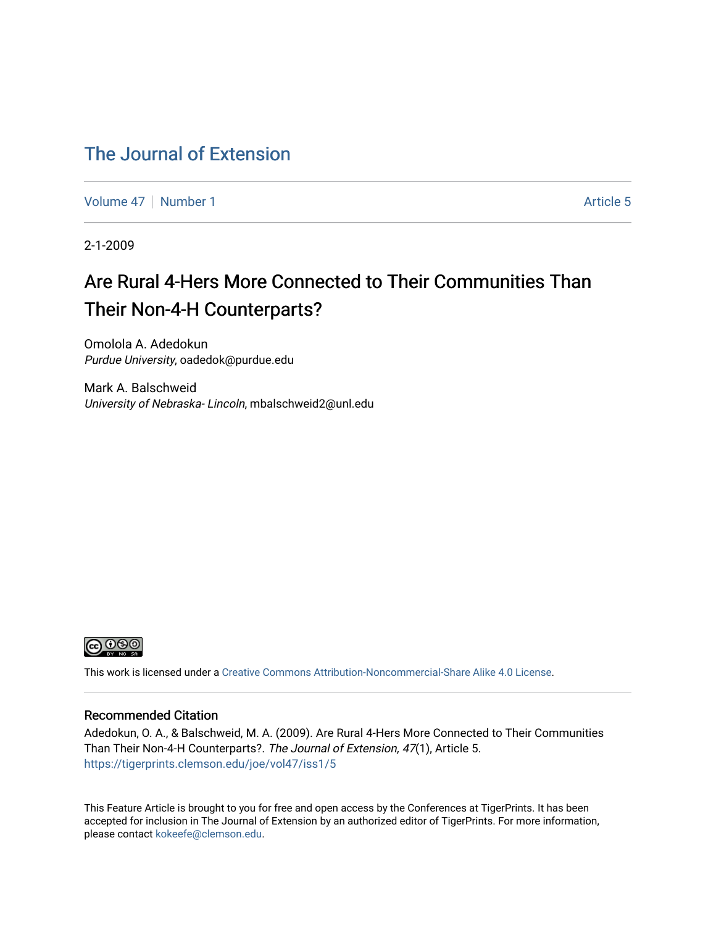# [The Journal of Extension](https://tigerprints.clemson.edu/joe)

[Volume 47](https://tigerprints.clemson.edu/joe/vol47) | [Number 1](https://tigerprints.clemson.edu/joe/vol47/iss1) Article 5

2-1-2009

# Are Rural 4-Hers More Connected to Their Communities Than Their Non-4-H Counterparts?

Omolola A. Adedokun Purdue University, oadedok@purdue.edu

Mark A. Balschweid University of Nebraska- Lincoln, mbalschweid2@unl.edu



This work is licensed under a [Creative Commons Attribution-Noncommercial-Share Alike 4.0 License.](https://creativecommons.org/licenses/by-nc-sa/4.0/)

### Recommended Citation

Adedokun, O. A., & Balschweid, M. A. (2009). Are Rural 4-Hers More Connected to Their Communities Than Their Non-4-H Counterparts?. The Journal of Extension, 47(1), Article 5. <https://tigerprints.clemson.edu/joe/vol47/iss1/5>

This Feature Article is brought to you for free and open access by the Conferences at TigerPrints. It has been accepted for inclusion in The Journal of Extension by an authorized editor of TigerPrints. For more information, please contact [kokeefe@clemson.edu](mailto:kokeefe@clemson.edu).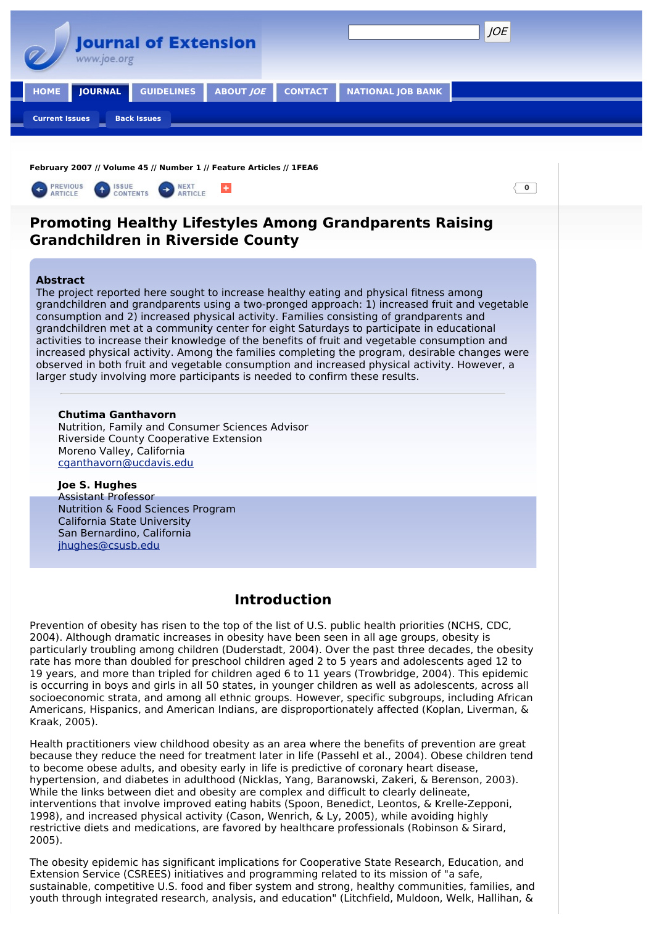

**February 2007 // Volume 45 // Number 1 // Feature Articles // 1FEA6**



#### **Chutima Ganthavorn**

Nutrition, Family and Consumer Sciences Advisor Riverside County Cooperative Extension Moreno Valley, California [cganthavorn@ucdavis.edu](mailto:cganthavorn@ucdavis.edu)

### **Joe S. Hughes**

Assistant Professor Nutrition & Food Sciences Program California State University San Bernardino, California [jhughes@csusb.edu](mailto:jhughes@csusb.edu)

# **Introduction**

Prevention of obesity has risen to the top of the list of U.S. public health priorities (NCHS, CDC, 2004). Although dramatic increases in obesity have been seen in all age groups, obesity is particularly troubling among children (Duderstadt, 2004). Over the past three decades, the obesity rate has more than doubled for preschool children aged 2 to 5 years and adolescents aged 12 to 19 years, and more than tripled for children aged 6 to 11 years (Trowbridge, 2004). This epidemic is occurring in boys and girls in all 50 states, in younger children as well as adolescents, across all socioeconomic strata, and among all ethnic groups. However, specific subgroups, including African Americans, Hispanics, and American Indians, are disproportionately affected (Koplan, Liverman, & Kraak, 2005).

Health practitioners view childhood obesity as an area where the benefits of prevention are great because they reduce the need for treatment later in life (Passehl et al., 2004). Obese children tend to become obese adults, and obesity early in life is predictive of coronary heart disease, hypertension, and diabetes in adulthood (Nicklas, Yang, Baranowski, Zakeri, & Berenson, 2003). While the links between diet and obesity are complex and difficult to clearly delineate, interventions that involve improved eating habits (Spoon, Benedict, Leontos, & Krelle-Zepponi, 1998), and increased physical activity (Cason, Wenrich, & Ly, 2005), while avoiding highly restrictive diets and medications, are favored by healthcare professionals (Robinson & Sirard, 2005).

The obesity epidemic has significant implications for Cooperative State Research, Education, and Extension Service (CSREES) initiatives and programming related to its mission of "a safe, sustainable, competitive U.S. food and fiber system and strong, healthy communities, families, and youth through integrated research, analysis, and education" (Litchfield, Muldoon, Welk, Hallihan, &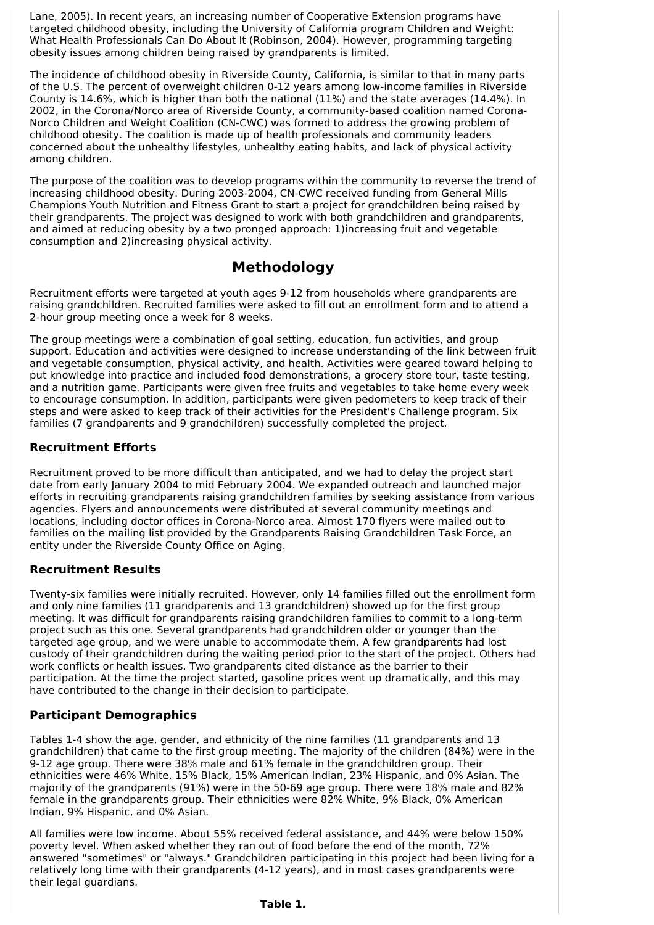Lane, 2005). In recent years, an increasing number of Cooperative Extension programs have targeted childhood obesity, including the University of California program Children and Weight: What Health Professionals Can Do About It (Robinson, 2004). However, programming targeting obesity issues among children being raised by grandparents is limited.

The incidence of childhood obesity in Riverside County, California, is similar to that in many parts of the U.S. The percent of overweight children 0-12 years among low-income families in Riverside County is 14.6%, which is higher than both the national (11%) and the state averages (14.4%). In 2002, in the Corona/Norco area of Riverside County, a community-based coalition named Corona-Norco Children and Weight Coalition (CN-CWC) was formed to address the growing problem of childhood obesity. The coalition is made up of health professionals and community leaders concerned about the unhealthy lifestyles, unhealthy eating habits, and lack of physical activity among children.

The purpose of the coalition was to develop programs within the community to reverse the trend of increasing childhood obesity. During 2003-2004, CN-CWC received funding from General Mills Champions Youth Nutrition and Fitness Grant to start a project for grandchildren being raised by their grandparents. The project was designed to work with both grandchildren and grandparents, and aimed at reducing obesity by a two pronged approach: 1)increasing fruit and vegetable consumption and 2)increasing physical activity.

# **Methodology**

Recruitment efforts were targeted at youth ages 9-12 from households where grandparents are raising grandchildren. Recruited families were asked to fill out an enrollment form and to attend a 2-hour group meeting once a week for 8 weeks.

The group meetings were a combination of goal setting, education, fun activities, and group support. Education and activities were designed to increase understanding of the link between fruit and vegetable consumption, physical activity, and health. Activities were geared toward helping to put knowledge into practice and included food demonstrations, a grocery store tour, taste testing, and a nutrition game. Participants were given free fruits and vegetables to take home every week to encourage consumption. In addition, participants were given pedometers to keep track of their steps and were asked to keep track of their activities for the President's Challenge program. Six families (7 grandparents and 9 grandchildren) successfully completed the project.

### **Recruitment Efforts**

Recruitment proved to be more difficult than anticipated, and we had to delay the project start date from early January 2004 to mid February 2004. We expanded outreach and launched major efforts in recruiting grandparents raising grandchildren families by seeking assistance from various agencies. Flyers and announcements were distributed at several community meetings and locations, including doctor offices in Corona-Norco area. Almost 170 flyers were mailed out to families on the mailing list provided by the Grandparents Raising Grandchildren Task Force, an entity under the Riverside County Office on Aging.

### **Recruitment Results**

Twenty-six families were initially recruited. However, only 14 families filled out the enrollment form and only nine families (11 grandparents and 13 grandchildren) showed up for the first group meeting. It was difficult for grandparents raising grandchildren families to commit to a long-term project such as this one. Several grandparents had grandchildren older or younger than the targeted age group, and we were unable to accommodate them. A few grandparents had lost custody of their grandchildren during the waiting period prior to the start of the project. Others had work conflicts or health issues. Two grandparents cited distance as the barrier to their participation. At the time the project started, gasoline prices went up dramatically, and this may have contributed to the change in their decision to participate.

### **Participant Demographics**

Tables 1-4 show the age, gender, and ethnicity of the nine families (11 grandparents and 13 grandchildren) that came to the first group meeting. The majority of the children (84%) were in the 9-12 age group. There were 38% male and 61% female in the grandchildren group. Their ethnicities were 46% White, 15% Black, 15% American Indian, 23% Hispanic, and 0% Asian. The majority of the grandparents (91%) were in the 50-69 age group. There were 18% male and 82% female in the grandparents group. Their ethnicities were 82% White, 9% Black, 0% American Indian, 9% Hispanic, and 0% Asian.

All families were low income. About 55% received federal assistance, and 44% were below 150% poverty level. When asked whether they ran out of food before the end of the month, 72% answered "sometimes" or "always." Grandchildren participating in this project had been living for a relatively long time with their grandparents (4-12 years), and in most cases grandparents were their legal guardians.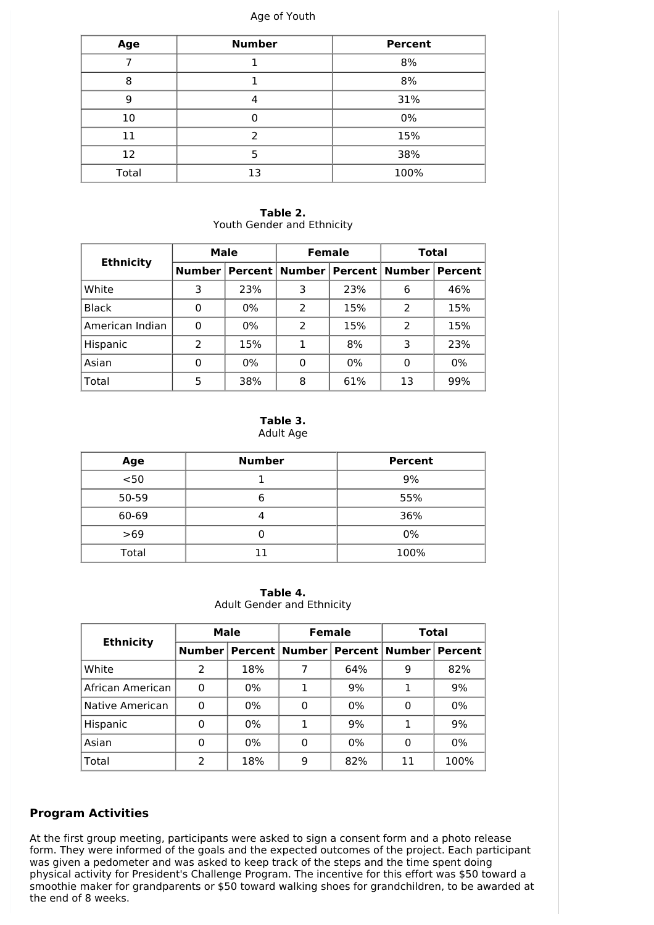#### Age of Youth

| Age   | <b>Number</b> | <b>Percent</b> |  |  |  |
|-------|---------------|----------------|--|--|--|
|       |               | 8%             |  |  |  |
| 8     | 8%            |                |  |  |  |
| 9     | 4             | 31%            |  |  |  |
| 10    |               | 0%             |  |  |  |
| 11    | $\mathcal{P}$ | 15%            |  |  |  |
| 12    | 5             | 38%            |  |  |  |
| Total | 13            | 100%           |  |  |  |

**Table 2.** Youth Gender and Ethnicity

| <b>Ethnicity</b> | Male          |       | <b>Female</b>              |     | <b>Total</b>            |     |
|------------------|---------------|-------|----------------------------|-----|-------------------------|-----|
|                  | <b>Number</b> |       | Percent   Number   Percent |     | <b>Number   Percent</b> |     |
| White            | 3             | 23%   | 3                          | 23% | 6                       | 46% |
| <b>Black</b>     | 0             | 0%    | 2                          | 15% | 2                       | 15% |
| American Indian  | 0             | $0\%$ | $\mathcal{P}$              | 15% | 2                       | 15% |
| Hispanic         | 2             | 15%   | 1                          | 8%  | 3                       | 23% |
| Asian            | 0             | 0%    | 0                          | 0%  | 0                       | 0%  |
| Total            | 5             | 38%   | 8                          | 61% | 13                      | 99% |

**Table 3.** Adult Age

| Age   | <b>Number</b> | <b>Percent</b> |  |  |
|-------|---------------|----------------|--|--|
| $50$  |               | 9%             |  |  |
| 50-59 |               | 55%            |  |  |
| 60-69 |               | 36%            |  |  |
| $>69$ |               | 0%             |  |  |
| Total | 11            | 100%           |  |  |

**Table 4.**

Adult Gender and Ethnicity

| <b>Ethnicity</b> | Male |       | <b>Female</b> |       | Total                                                  |      |
|------------------|------|-------|---------------|-------|--------------------------------------------------------|------|
|                  |      |       |               |       | Number   Percent   Number   Percent   Number   Percent |      |
| White            | 2    | 18%   |               | 64%   | 9                                                      | 82%  |
| African American | 0    | 0%    |               | 9%    | 1                                                      | 9%   |
| Native American  | 0    | $0\%$ | 0             | $0\%$ | 0                                                      | 0%   |
| Hispanic         | 0    | 0%    | 1             | 9%    | 1                                                      | 9%   |
| Asian            | 0    | $0\%$ | 0             | 0%    | 0                                                      | 0%   |
| Total            | 2    | 18%   | 9             | 82%   | 11                                                     | 100% |

### **Program Activities**

At the first group meeting, participants were asked to sign a consent form and a photo release form. They were informed of the goals and the expected outcomes of the project. Each participant was given a pedometer and was asked to keep track of the steps and the time spent doing physical activity for President's Challenge Program. The incentive for this effort was \$50 toward a smoothie maker for grandparents or \$50 toward walking shoes for grandchildren, to be awarded at the end of 8 weeks.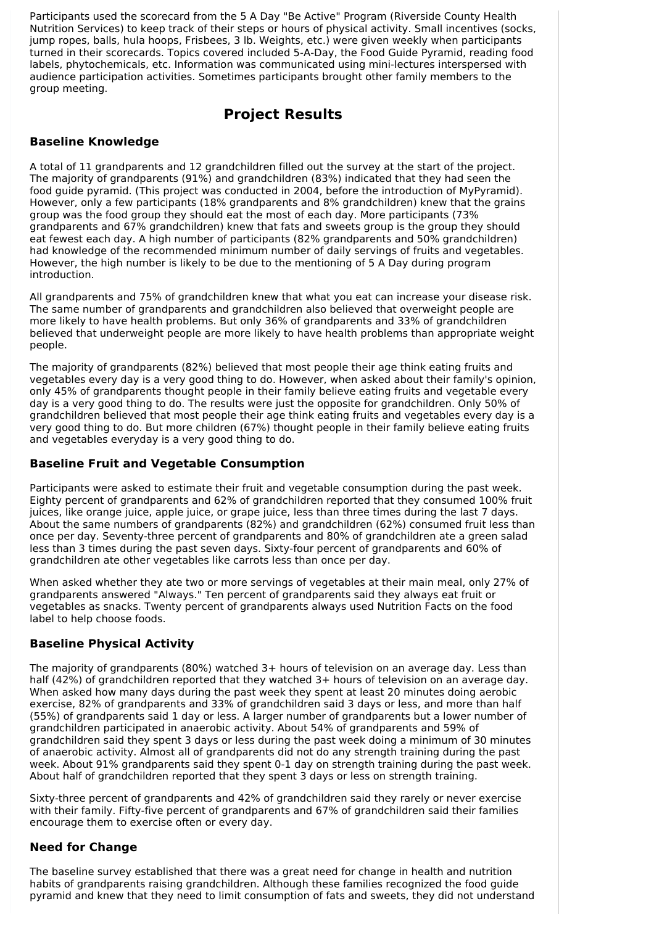Participants used the scorecard from the 5 A Day "Be Active" Program (Riverside County Health Nutrition Services) to keep track of their steps or hours of physical activity. Small incentives (socks, jump ropes, balls, hula hoops, Frisbees, 3 lb. Weights, etc.) were given weekly when participants turned in their scorecards. Topics covered included 5-A-Day, the Food Guide Pyramid, reading food labels, phytochemicals, etc. Information was communicated using mini-lectures interspersed with audience participation activities. Sometimes participants brought other family members to the group meeting.

# **Project Results**

### **Baseline Knowledge**

A total of 11 grandparents and 12 grandchildren filled out the survey at the start of the project. The majority of grandparents (91%) and grandchildren (83%) indicated that they had seen the food guide pyramid. (This project was conducted in 2004, before the introduction of MyPyramid). However, only a few participants (18% grandparents and 8% grandchildren) knew that the grains group was the food group they should eat the most of each day. More participants (73% grandparents and 67% grandchildren) knew that fats and sweets group is the group they should eat fewest each day. A high number of participants (82% grandparents and 50% grandchildren) had knowledge of the recommended minimum number of daily servings of fruits and vegetables. However, the high number is likely to be due to the mentioning of 5 A Day during program introduction.

All grandparents and 75% of grandchildren knew that what you eat can increase your disease risk. The same number of grandparents and grandchildren also believed that overweight people are more likely to have health problems. But only 36% of grandparents and 33% of grandchildren believed that underweight people are more likely to have health problems than appropriate weight people.

The majority of grandparents (82%) believed that most people their age think eating fruits and vegetables every day is a very good thing to do. However, when asked about their family's opinion, only 45% of grandparents thought people in their family believe eating fruits and vegetable every day is a very good thing to do. The results were just the opposite for grandchildren. Only 50% of grandchildren believed that most people their age think eating fruits and vegetables every day is a very good thing to do. But more children (67%) thought people in their family believe eating fruits and vegetables everyday is a very good thing to do.

### **Baseline Fruit and Vegetable Consumption**

Participants were asked to estimate their fruit and vegetable consumption during the past week. Eighty percent of grandparents and 62% of grandchildren reported that they consumed 100% fruit juices, like orange juice, apple juice, or grape juice, less than three times during the last 7 days. About the same numbers of grandparents (82%) and grandchildren (62%) consumed fruit less than once per day. Seventy-three percent of grandparents and 80% of grandchildren ate a green salad less than 3 times during the past seven days. Sixty-four percent of grandparents and 60% of grandchildren ate other vegetables like carrots less than once per day.

When asked whether they ate two or more servings of vegetables at their main meal, only 27% of grandparents answered "Always." Ten percent of grandparents said they always eat fruit or vegetables as snacks. Twenty percent of grandparents always used Nutrition Facts on the food label to help choose foods.

### **Baseline Physical Activity**

The majority of grandparents (80%) watched 3+ hours of television on an average day. Less than half (42%) of grandchildren reported that they watched 3+ hours of television on an average day. When asked how many days during the past week they spent at least 20 minutes doing aerobic exercise, 82% of grandparents and 33% of grandchildren said 3 days or less, and more than half (55%) of grandparents said 1 day or less. A larger number of grandparents but a lower number of grandchildren participated in anaerobic activity. About 54% of grandparents and 59% of grandchildren said they spent 3 days or less during the past week doing a minimum of 30 minutes of anaerobic activity. Almost all of grandparents did not do any strength training during the past week. About 91% grandparents said they spent 0-1 day on strength training during the past week. About half of grandchildren reported that they spent 3 days or less on strength training.

Sixty-three percent of grandparents and 42% of grandchildren said they rarely or never exercise with their family. Fifty-five percent of grandparents and 67% of grandchildren said their families encourage them to exercise often or every day.

### **Need for Change**

The baseline survey established that there was a great need for change in health and nutrition habits of grandparents raising grandchildren. Although these families recognized the food guide pyramid and knew that they need to limit consumption of fats and sweets, they did not understand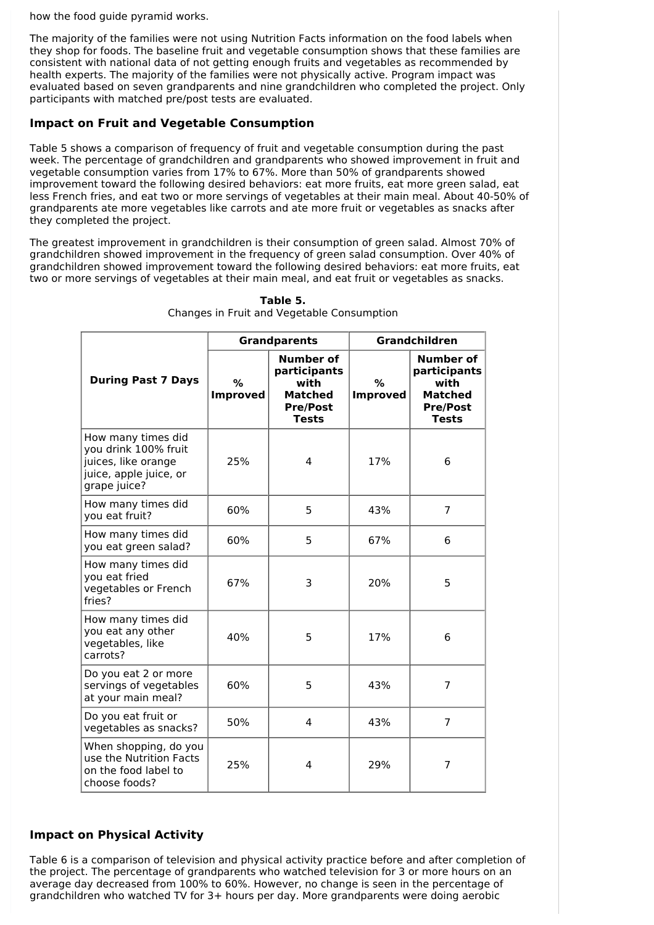how the food guide pyramid works.

The majority of the families were not using Nutrition Facts information on the food labels when they shop for foods. The baseline fruit and vegetable consumption shows that these families are consistent with national data of not getting enough fruits and vegetables as recommended by health experts. The majority of the families were not physically active. Program impact was evaluated based on seven grandparents and nine grandchildren who completed the project. Only participants with matched pre/post tests are evaluated.

### **Impact on Fruit and Vegetable Consumption**

Table 5 shows a comparison of frequency of fruit and vegetable consumption during the past week. The percentage of grandchildren and grandparents who showed improvement in fruit and vegetable consumption varies from 17% to 67%. More than 50% of grandparents showed improvement toward the following desired behaviors: eat more fruits, eat more green salad, eat less French fries, and eat two or more servings of vegetables at their main meal. About 40-50% of grandparents ate more vegetables like carrots and ate more fruit or vegetables as snacks after they completed the project.

The greatest improvement in grandchildren is their consumption of green salad. Almost 70% of grandchildren showed improvement in the frequency of green salad consumption. Over 40% of grandchildren showed improvement toward the following desired behaviors: eat more fruits, eat two or more servings of vegetables at their main meal, and eat fruit or vegetables as snacks.

|                                                                                                             |                      | <b>Grandparents</b>                                                                           | Grandchildren        |                                                                                               |  |
|-------------------------------------------------------------------------------------------------------------|----------------------|-----------------------------------------------------------------------------------------------|----------------------|-----------------------------------------------------------------------------------------------|--|
| <b>During Past 7 Days</b>                                                                                   | %<br><b>Improved</b> | <b>Number of</b><br>participants<br>with<br><b>Matched</b><br><b>Pre/Post</b><br><b>Tests</b> | %<br><b>Improved</b> | <b>Number of</b><br>participants<br>with<br><b>Matched</b><br><b>Pre/Post</b><br><b>Tests</b> |  |
| How many times did<br>you drink 100% fruit<br>juices, like orange<br>juice, apple juice, or<br>grape juice? | 25%                  | 4                                                                                             | 17%                  | 6                                                                                             |  |
| How many times did<br>you eat fruit?                                                                        | 60%                  | 5                                                                                             | 43%                  | 7                                                                                             |  |
| How many times did<br>you eat green salad?                                                                  | 60%                  | 5<br>67%                                                                                      |                      | 6                                                                                             |  |
| How many times did<br>you eat fried<br>vegetables or French<br>fries?                                       | 67%                  | 3                                                                                             | 20%                  | 5                                                                                             |  |
| How many times did<br>you eat any other<br>vegetables, like<br>carrots?                                     | 40%                  | 5                                                                                             | 17%                  | 6                                                                                             |  |
| Do you eat 2 or more<br>servings of vegetables<br>at your main meal?                                        | 60%                  | 5<br>43%                                                                                      |                      | $\overline{7}$                                                                                |  |
| Do you eat fruit or<br>vegetables as snacks?                                                                | 50%                  | 4                                                                                             | 43%                  | $\overline{7}$                                                                                |  |
| When shopping, do you<br>use the Nutrition Facts<br>on the food label to<br>choose foods?                   | 25%                  | 4                                                                                             | 29%                  | 7                                                                                             |  |

#### **Table 5.** Changes in Fruit and Vegetable Consumption

### **Impact on Physical Activity**

Table 6 is a comparison of television and physical activity practice before and after completion of the project. The percentage of grandparents who watched television for 3 or more hours on an average day decreased from 100% to 60%. However, no change is seen in the percentage of grandchildren who watched TV for 3+ hours per day. More grandparents were doing aerobic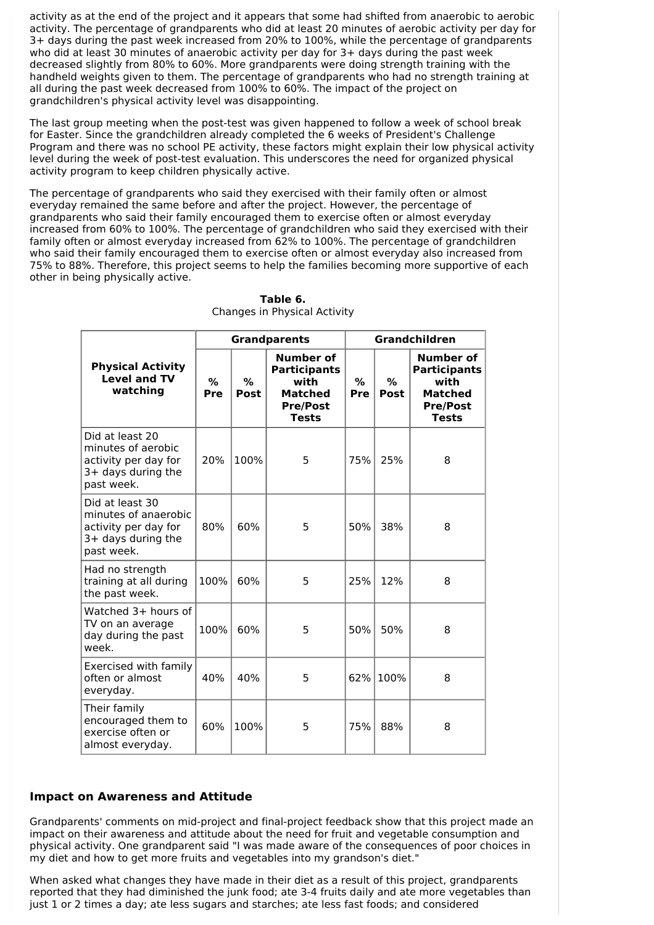activity as at the end of the project and it appears that some had shifted from anaerobic to aerobic activity. The percentage of grandparents who did at least 20 minutes of aerobic activity per day for 3+ days during the past week increased from 20% to 100%, while the percentage of grandparents who did at least 30 minutes of anaerobic activity per day for 3+ days during the past week decreased slightly from 80% to 60%. More grandparents were doing strength training with the handheld weights given to them. The percentage of grandparents who had no strength training at all during the past week decreased from 100% to 60%. The impact of the project on grandchildren's physical activity level was disappointing.

The last group meeting when the post-test was given happened to follow a week of school break for Easter. Since the grandchildren already completed the 6 weeks of President's Challenge Program and there was no school PE activity, these factors might explain their low physical activity level during the week of post-test evaluation. This underscores the need for organized physical activity program to keep children physically active.

The percentage of grandparents who said they exercised with their family often or almost everyday remained the same before and after the project. However, the percentage of grandparents who said their family encouraged them to exercise often or almost everyday increased from 60% to 100%. The percentage of grandchildren who said they exercised with their family often or almost everyday increased from 62% to 100%. The percentage of grandchildren who said their family encouraged them to exercise often or almost everyday also increased from 75% to 88%. Therefore, this project seems to help the families becoming more supportive of each other in being physically active.

|                                                                                                     |          |           | <b>Grandparents</b>                                                                                  | Grandchildren |           |                                                                                                      |  |
|-----------------------------------------------------------------------------------------------------|----------|-----------|------------------------------------------------------------------------------------------------------|---------------|-----------|------------------------------------------------------------------------------------------------------|--|
| <b>Physical Activity</b><br><b>Level and TV</b><br>watching                                         | %<br>Pre | %<br>Post | <b>Number of</b><br><b>Participants</b><br>with<br><b>Matched</b><br><b>Pre/Post</b><br><b>Tests</b> | %<br>Pre      | %<br>Post | <b>Number of</b><br><b>Participants</b><br>with<br><b>Matched</b><br><b>Pre/Post</b><br><b>Tests</b> |  |
| Did at least 20<br>minutes of aerobic<br>activity per day for<br>3+ days during the<br>past week.   | 20%      | 100%      | 5                                                                                                    | 75%           | 25%       | 8                                                                                                    |  |
| Did at least 30<br>minutes of anaerobic<br>activity per day for<br>3+ days during the<br>past week. | 80%      | 60%       | 5                                                                                                    | 50%           | 38%       | 8                                                                                                    |  |
| Had no strength<br>training at all during<br>the past week.                                         | 100%     | 60%       | 5                                                                                                    | 25%           | 12%       | 8                                                                                                    |  |
| Watched 3+ hours of<br>TV on an average<br>day during the past<br>week.                             | 100%     | 60%       | 5                                                                                                    | 50%           | 50%       | 8                                                                                                    |  |
| Exercised with family<br>often or almost<br>everyday.                                               | 40%      | 40%       | 5                                                                                                    | 62%           | 100%      | 8                                                                                                    |  |
| Their family<br>encouraged them to<br>exercise often or<br>almost everyday.                         | 60%      | 100%      | 5                                                                                                    | 75%           | 88%       | 8                                                                                                    |  |

**Table 6.** Changes in Physical Activity

# **Impact on Awareness and Attitude**

Grandparents' comments on mid-project and final-project feedback show that this project made an impact on their awareness and attitude about the need for fruit and vegetable consumption and physical activity. One grandparent said "I was made aware of the consequences of poor choices in my diet and how to get more fruits and vegetables into my grandson's diet."

When asked what changes they have made in their diet as a result of this project, grandparents reported that they had diminished the junk food; ate 3-4 fruits daily and ate more vegetables than just 1 or 2 times a day; ate less sugars and starches; ate less fast foods; and considered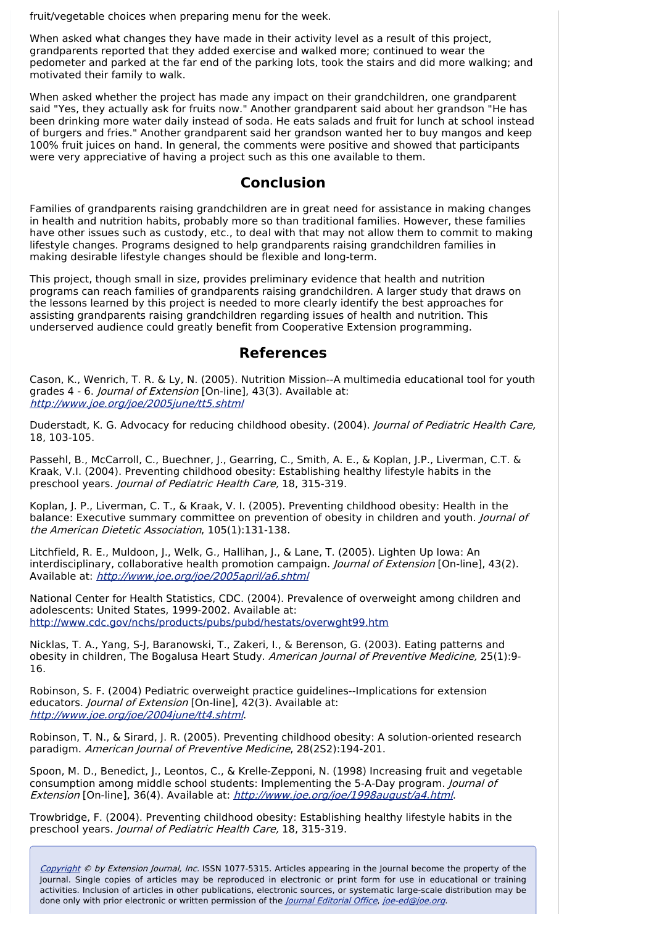fruit/vegetable choices when preparing menu for the week.

When asked what changes they have made in their activity level as a result of this project, grandparents reported that they added exercise and walked more; continued to wear the pedometer and parked at the far end of the parking lots, took the stairs and did more walking; and motivated their family to walk.

When asked whether the project has made any impact on their grandchildren, one grandparent said "Yes, they actually ask for fruits now." Another grandparent said about her grandson "He has been drinking more water daily instead of soda. He eats salads and fruit for lunch at school instead of burgers and fries." Another grandparent said her grandson wanted her to buy mangos and keep 100% fruit juices on hand. In general, the comments were positive and showed that participants were very appreciative of having a project such as this one available to them.

# **Conclusion**

Families of grandparents raising grandchildren are in great need for assistance in making changes in health and nutrition habits, probably more so than traditional families. However, these families have other issues such as custody, etc., to deal with that may not allow them to commit to making lifestyle changes. Programs designed to help grandparents raising grandchildren families in making desirable lifestyle changes should be flexible and long-term.

This project, though small in size, provides preliminary evidence that health and nutrition programs can reach families of grandparents raising grandchildren. A larger study that draws on the lessons learned by this project is needed to more clearly identify the best approaches for assisting grandparents raising grandchildren regarding issues of health and nutrition. This underserved audience could greatly benefit from Cooperative Extension programming.

# **References**

Cason, K., Wenrich, T. R. & Ly, N. (2005). Nutrition Mission--A multimedia educational tool for youth grades 4 - 6. Journal of Extension [On-line], 43(3). Available at: <http://www.joe.org/joe/2005june/tt5.shtml>

Duderstadt, K. G. Advocacy for reducing childhood obesity. (2004). Journal of Pediatric Health Care, 18, 103-105.

Passehl, B., McCarroll, C., Buechner, J., Gearring, C., Smith, A. E., & Koplan, J.P., Liverman, C.T. & Kraak, V.I. (2004). Preventing childhood obesity: Establishing healthy lifestyle habits in the preschool years. Journal of Pediatric Health Care, 18, 315-319.

Koplan, J. P., Liverman, C. T., & Kraak, V. I. (2005). Preventing childhood obesity: Health in the balance: Executive summary committee on prevention of obesity in children and youth. *Journal of* the American Dietetic Association, 105(1):131-138.

Litchfield, R. E., Muldoon, J., Welk, G., Hallihan, J., & Lane, T. (2005). Lighten Up Iowa: An interdisciplinary, collaborative health promotion campaign. *Journal of Extension* [On-line], 43(2). Available at: <http://www.joe.org/joe/2005april/a6.shtml>

National Center for Health Statistics, CDC. (2004). Prevalence of overweight among children and adolescents: United States, 1999-2002. Available at: <http://www.cdc.gov/nchs/products/pubs/pubd/hestats/overwght99.htm>

Nicklas, T. A., Yang, S-J, Baranowski, T., Zakeri, I., & Berenson, G. (2003). Eating patterns and obesity in children, The Bogalusa Heart Study. American Journal of Preventive Medicine, 25(1):9-16.

Robinson, S. F. (2004) Pediatric overweight practice guidelines--Implications for extension educators. Journal of Extension [On-line], 42(3). Available at: <http://www.joe.org/joe/2004june/tt4.shtml>.

Robinson, T. N., & Sirard, J. R. (2005). Preventing childhood obesity: A solution-oriented research paradigm. American Journal of Preventive Medicine, 28(2S2):194-201.

Spoon, M. D., Benedict, J., Leontos, C., & Krelle-Zepponi, N. (1998) Increasing fruit and vegetable consumption among middle school students: Implementing the 5-A-Day program. *Journal of* Extension [On-line], 36(4). Available at: <http://www.joe.org/joe/1998august/a4.html>.

Trowbridge, F. (2004). Preventing childhood obesity: Establishing healthy lifestyle habits in the preschool years. Journal of Pediatric Health Care, 18, 315-319.

[Copyright](http://52.15.183.219/about-joe-copyright-policy.php) © by Extension Journal, Inc. ISSN 1077-5315. Articles appearing in the Journal become the property of the Journal. Single copies of articles may be reproduced in electronic or print form for use in educational or training activities. Inclusion of articles in other publications, electronic sources, or systematic large-scale distribution may be done only with prior electronic or written permission of the *[Journal](http://www.joe.org/joe-jeo.html) Editorial Office, [joe-ed@joe.org](mailto:joe-ed@joe.org)*.